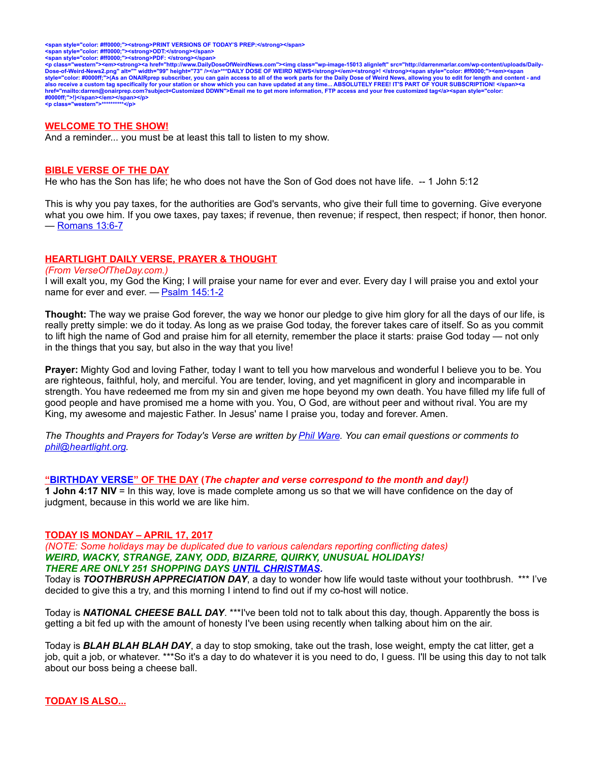<span style="color: #ff0000;"><strong>PRINT VERSIONS OF TODAY'S PREP:</strong></span><br><span style="color: #ff0000;"><strong>ODT:</strong></span><br><span style="color: #ff0000;"><strong>PDF: </strong></span>

<p class="western"><em><strong><a href="http://www.DailyDoseOfWeirdNews.com"><img class="wp-image-15013 alignleft" src="http://darrenmarlar.com/wp-content/uploads/Daily-<br>Dose-of-Weird-News2.png" alt="" width="99" height=" **#0000ff;">!)</span></em></span></p> <p class="western">\*\*\*\*\*\*\*\*\*\*</p>**

#### **WELCOME TO THE SHOW!**

And a reminder... you must be at least this tall to listen to my show.

#### **BIBLE VERSE OF THE DAY**

He who has the Son has life; he who does not have the Son of God does not have life. -- 1 John 5:12

This is why you pay taxes, for the authorities are God's servants, who give their full time to governing. Give everyone what you owe him. If you owe taxes, pay taxes; if revenue, then revenue; if respect, then respect; if honor, then honor. — [Romans 13:6-7](http://www.biblestudytools.com/search/?query=Romans+13:6-7&t=niv)

### **HEARTLIGHT DAILY VERSE, PRAYER & THOUGHT**

*(From VerseOfTheDay.com.)*

I will exalt you, my God the King; I will praise your name for ever and ever. Every day I will praise you and extol your name for ever and ever. — [Psalm 145:1-2](http://bible.faithlife.com/bible/niv/Psalm145.1-2)

**Thought:** The way we praise God forever, the way we honor our pledge to give him glory for all the days of our life, is really pretty simple: we do it today. As long as we praise God today, the forever takes care of itself. So as you commit to lift high the name of God and praise him for all eternity, remember the place it starts: praise God today — not only in the things that you say, but also in the way that you live!

**Prayer:** Mighty God and loving Father, today I want to tell you how marvelous and wonderful I believe you to be. You are righteous, faithful, holy, and merciful. You are tender, loving, and yet magnificent in glory and incomparable in strength. You have redeemed me from my sin and given me hope beyond my own death. You have filled my life full of good people and have promised me a home with you. You, O God, are without peer and without rival. You are my King, my awesome and majestic Father. In Jesus' name I praise you, today and forever. Amen.

*The Thoughts and Prayers for Today's Verse are written by [Phil Ware.](mailto:phil@heartlight.org) You can email questions or comments to [phil@heartlight.org.](mailto:phil@heartlight.org)*

#### **["BIRTHDAY VERSE"](http://67.59.170.133/) OF THE DAY (***The chapter and verse correspond to the month and day!)*

**1 John 4:17 NIV** = In this way, love is made complete among us so that we will have confidence on the day of judgment, because in this world we are like him.

#### **TODAY IS MONDAY – APRIL 17, 2017**

*(NOTE: Some holidays may be duplicated due to various calendars reporting conflicting dates) WEIRD, WACKY, STRANGE, ZANY, ODD, BIZARRE, QUIRKY, UNUSUAL HOLIDAYS! THERE ARE ONLY 251 SHOPPING DAYS [UNTIL CHRISTMAS.](http://days.to/until/christmas)*

Today is *TOOTHBRUSH APPRECIATION DAY*, a day to wonder how life would taste without your toothbrush. \*\*\* I've decided to give this a try, and this morning I intend to find out if my co-host will notice.

Today is *NATIONAL CHEESE BALL DAY*. \*\*\*I've been told not to talk about this day, though. Apparently the boss is getting a bit fed up with the amount of honesty I've been using recently when talking about him on the air.

Today is *BLAH BLAH BLAH DAY*, a day to stop smoking, take out the trash, lose weight, empty the cat litter, get a job, quit a job, or whatever. \*\*\*So it's a day to do whatever it is you need to do, I guess. I'll be using this day to not talk about our boss being a cheese ball.

**TODAY IS ALSO...**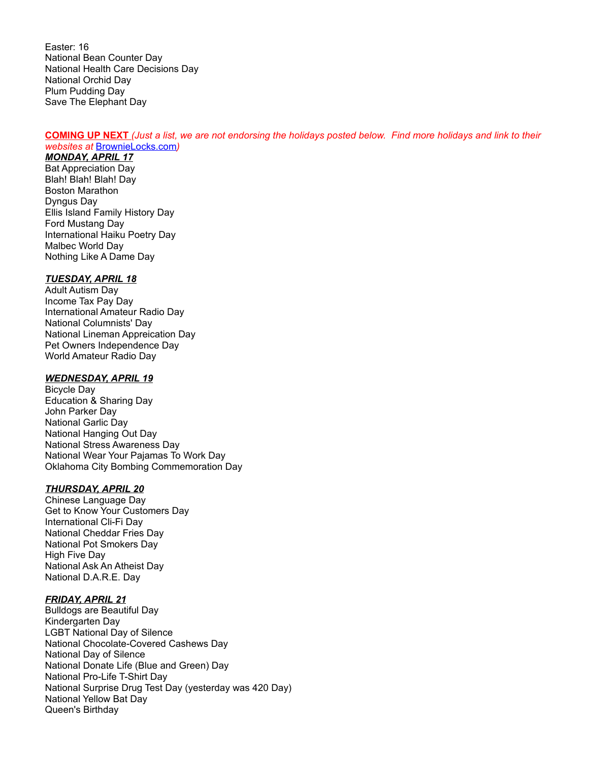Easter: 16 National Bean Counter Day National Health Care Decisions Day National Orchid Day Plum Pudding Day Save The Elephant Day

### **COMING UP NEXT** *(Just a list, we are not endorsing the holidays posted below. Find more holidays and link to their websites at* [BrownieLocks.com](https://www.brownielocks.com/month2.html)*)*

# *MONDAY, APRIL 17*

Bat Appreciation Day Blah! Blah! Blah! Day Boston Marathon Dyngus Day Ellis Island Family History Day Ford Mustang Day International Haiku Poetry Day Malbec World Day Nothing Like A Dame Day

### *TUESDAY, APRIL 18*

Adult Autism Day Income Tax Pay Day International Amateur Radio Day National Columnists' Day National Lineman Appreication Day Pet Owners Independence Day World Amateur Radio Day

### *WEDNESDAY, APRIL 19*

Bicycle Day Education & Sharing Day John Parker Day National Garlic Day National Hanging Out Day National Stress Awareness Day National Wear Your Pajamas To Work Day Oklahoma City Bombing Commemoration Day

### *THURSDAY, APRIL 20*

Chinese Language Day Get to Know Your Customers Day International Cli-Fi Day National Cheddar Fries Day National Pot Smokers Day High Five Day National Ask An Atheist Day National D.A.R.E. Day

### *FRIDAY, APRIL 21*

Bulldogs are Beautiful Day Kindergarten Day LGBT National Day of Silence National Chocolate-Covered Cashews Day National Day of Silence National Donate Life (Blue and Green) Day National Pro-Life T-Shirt Day National Surprise Drug Test Day (yesterday was 420 Day) National Yellow Bat Day Queen's Birthday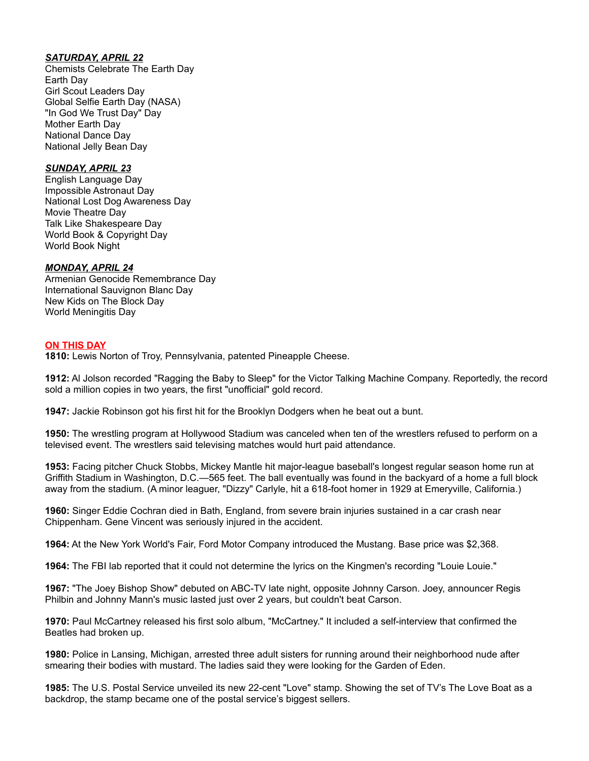# *SATURDAY, APRIL 22*

Chemists Celebrate The Earth Day Earth Day Girl Scout Leaders Day Global Selfie Earth Day (NASA) "In God We Trust Day" Day Mother Earth Day National Dance Day National Jelly Bean Day

## *SUNDAY, APRIL 23*

English Language Day Impossible Astronaut Day National Lost Dog Awareness Day Movie Theatre Day Talk Like Shakespeare Day World Book & Copyright Day World Book Night

### *MONDAY, APRIL 24*

Armenian Genocide Remembrance Day International Sauvignon Blanc Day New Kids on The Block Day World Meningitis Day

### **ON THIS DAY**

**1810:** Lewis Norton of Troy, Pennsylvania, patented Pineapple Cheese.

**1912:** Al Jolson recorded "Ragging the Baby to Sleep" for the Victor Talking Machine Company. Reportedly, the record sold a million copies in two years, the first "unofficial" gold record.

**1947:** Jackie Robinson got his first hit for the Brooklyn Dodgers when he beat out a bunt.

**1950:** The wrestling program at Hollywood Stadium was canceled when ten of the wrestlers refused to perform on a televised event. The wrestlers said televising matches would hurt paid attendance.

**1953:** Facing pitcher Chuck Stobbs, Mickey Mantle hit major-league baseball's longest regular season home run at Griffith Stadium in Washington, D.C.—565 feet. The ball eventually was found in the backyard of a home a full block away from the stadium. (A minor leaguer, "Dizzy" Carlyle, hit a 618-foot homer in 1929 at Emeryville, California.)

**1960:** Singer Eddie Cochran died in Bath, England, from severe brain injuries sustained in a car crash near Chippenham. Gene Vincent was seriously injured in the accident.

**1964:** At the New York World's Fair, Ford Motor Company introduced the Mustang. Base price was \$2,368.

**1964:** The FBI lab reported that it could not determine the lyrics on the Kingmen's recording "Louie Louie."

**1967:** "The Joey Bishop Show" debuted on ABC-TV late night, opposite Johnny Carson. Joey, announcer Regis Philbin and Johnny Mann's music lasted just over 2 years, but couldn't beat Carson.

**1970:** Paul McCartney released his first solo album, "McCartney." It included a self-interview that confirmed the Beatles had broken up.

**1980:** Police in Lansing, Michigan, arrested three adult sisters for running around their neighborhood nude after smearing their bodies with mustard. The ladies said they were looking for the Garden of Eden.

**1985:** The U.S. Postal Service unveiled its new 22-cent "Love" stamp. Showing the set of TV's The Love Boat as a backdrop, the stamp became one of the postal service's biggest sellers.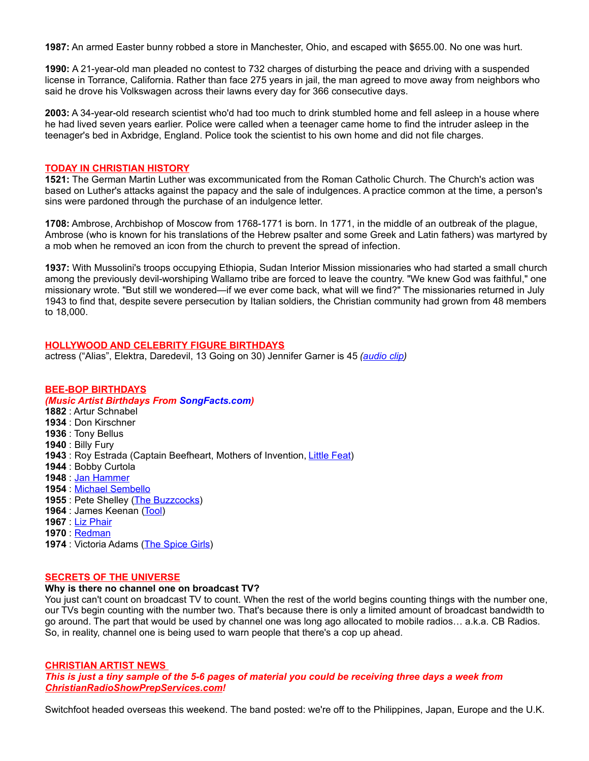**1987:** An armed Easter bunny robbed a store in Manchester, Ohio, and escaped with \$655.00. No one was hurt.

**1990:** A 21-year-old man pleaded no contest to 732 charges of disturbing the peace and driving with a suspended license in Torrance, California. Rather than face 275 years in jail, the man agreed to move away from neighbors who said he drove his Volkswagen across their lawns every day for 366 consecutive days.

**2003:** A 34-year-old research scientist who'd had too much to drink stumbled home and fell asleep in a house where he had lived seven years earlier. Police were called when a teenager came home to find the intruder asleep in the teenager's bed in Axbridge, England. Police took the scientist to his own home and did not file charges.

### **TODAY IN CHRISTIAN HISTORY**

**1521:** The German Martin Luther was excommunicated from the Roman Catholic Church. The Church's action was based on Luther's attacks against the papacy and the sale of indulgences. A practice common at the time, a person's sins were pardoned through the purchase of an indulgence letter.

**1708:** Ambrose, Archbishop of Moscow from 1768-1771 is born. In 1771, in the middle of an outbreak of the plague, Ambrose (who is known for his translations of the Hebrew psalter and some Greek and Latin fathers) was martyred by a mob when he removed an icon from the church to prevent the spread of infection.

**1937:** With Mussolini's troops occupying Ethiopia, Sudan Interior Mission missionaries who had started a small church among the previously devil-worshiping Wallamo tribe are forced to leave the country. "We knew God was faithful," one missionary wrote. "But still we wondered—if we ever come back, what will we find?" The missionaries returned in July 1943 to find that, despite severe persecution by Italian soldiers, the Christian community had grown from 48 members to 18,000.

# **HOLLYWOOD AND CELEBRITY FIGURE BIRTHDAYS**

actress ("Alias", Elektra, Daredevil, 13 Going on 30) Jennifer Garner is 45 *[\(audio clip\)](http://www.darrenmarlar.com/audio/TV-Alias.mp3)*

### **BEE-BOP BIRTHDAYS**

### *(Music Artist Birthdays From [SongFacts.com\)](http://calendar.songfacts.com/)*

 : Artur Schnabel : Don Kirschner : Tony Bellus : Billy Fury : Roy Estrada (Captain Beefheart, Mothers of Invention, [Little Feat\)](http://www.songfacts.com/search_fact.php?combinedartists=Little+Feat) : Bobby Curtola : [Jan Hammer](http://www.songfacts.com/search_fact.php?combinedartists=Jan+Hammer) : [Michael Sembello](http://www.songfacts.com/search_fact.php?combinedartists=Michael+Sembello) : Pete Shelley [\(The Buzzcocks\)](http://www.songfacts.com/search_fact.php?combinedartists=Buzzcocks) **1964** : James Keenan [\(Tool\)](http://www.artistfacts.com/detail.php?id=282) : [Liz Phair](http://www.songfacts.com/search_fact.php?combinedartists=Liz+Phair) **1970** : [Redman](http://www.songfacts.com/search_fact.php?combinedartists=Redman) : Victoria Adams [\(The Spice Girls\)](http://www.artistfacts.com/detail.php?id=357)

### **SECRETS OF THE UNIVERSE**

### **Why is there no channel one on broadcast TV?**

You just can't count on broadcast TV to count. When the rest of the world begins counting things with the number one, our TVs begin counting with the number two. That's because there is only a limited amount of broadcast bandwidth to go around. The part that would be used by channel one was long ago allocated to mobile radios… a.k.a. CB Radios. So, in reality, channel one is being used to warn people that there's a cop up ahead.

### **CHRISTIAN ARTIST NEWS**

*This is just a tiny sample of the 5-6 pages of material you could be receiving three days a week from [ChristianRadioShowPrepServices.com!](http://www.christianradioshowprepservices.com/)*

Switchfoot headed overseas this weekend. The band posted: we're off to the Philippines, Japan, Europe and the U.K.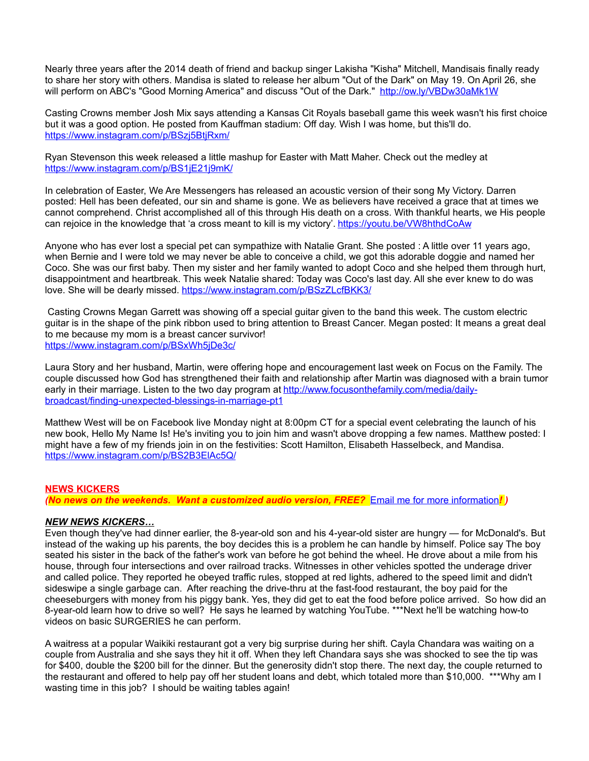Nearly three years after the 2014 death of friend and backup singer Lakisha "Kisha" Mitchell, Mandisais finally ready to share her story with others. Mandisa is slated to release her album "Out of the Dark" on May 19. On April 26, she will perform on ABC's "Good Morning America" and discuss "Out of the Dark." <http://ow.ly/VBDw30aMk1W>

Casting Crowns member Josh Mix says attending a Kansas Cit Royals baseball game this week wasn't his first choice but it was a good option. He posted from Kauffman stadium: Off day. Wish I was home, but this'll do. <https://www.instagram.com/p/BSzj5BtjRxm/>

Ryan Stevenson this week released a little mashup for Easter with Matt Maher. Check out the medley at <https://www.instagram.com/p/BS1jE21j9mK/>

In celebration of Easter, We Are Messengers has released an acoustic version of their song My Victory. Darren posted: Hell has been defeated, our sin and shame is gone. We as believers have received a grace that at times we cannot comprehend. Christ accomplished all of this through His death on a cross. With thankful hearts, we His people can rejoice in the knowledge that 'a cross meant to kill is my victory'.<https://youtu.be/VW8hthdCoAw>

Anyone who has ever lost a special pet can sympathize with Natalie Grant. She posted : A little over 11 years ago, when Bernie and I were told we may never be able to conceive a child, we got this adorable doggie and named her Coco. She was our first baby. Then my sister and her family wanted to adopt Coco and she helped them through hurt, disappointment and heartbreak. This week Natalie shared: Today was Coco's last day. All she ever knew to do was love. She will be dearly missed.<https://www.instagram.com/p/BSzZLcfBKK3/>

 Casting Crowns Megan Garrett was showing off a special guitar given to the band this week. The custom electric guitar is in the shape of the pink ribbon used to bring attention to Breast Cancer. Megan posted: It means a great deal to me because my mom is a breast cancer survivor! <https://www.instagram.com/p/BSxWh5jDe3c/>

Laura Story and her husband, Martin, were offering hope and encouragement last week on Focus on the Family. The couple discussed how God has strengthened their faith and relationship after Martin was diagnosed with a brain tumor early in their marriage. Listen to the two day program at [http://www.focusonthefamily.com/media/daily](http://www.focusonthefamily.com/media/daily-broadcast/finding-unexpected-blessings-in-marriage-pt1)[broadcast/finding-unexpected-blessings-in-marriage-pt1](http://www.focusonthefamily.com/media/daily-broadcast/finding-unexpected-blessings-in-marriage-pt1)

Matthew West will be on Facebook live Monday night at 8:00pm CT for a special event celebrating the launch of his new book, Hello My Name Is! He's inviting you to join him and wasn't above dropping a few names. Matthew posted: I might have a few of my friends join in on the festivities: Scott Hamilton, Elisabeth Hasselbeck, and Mandisa. <https://www.instagram.com/p/BS2B3ElAc5Q/>

# **NEWS KICKERS**

*(No news on the weekends. Want a customized audio version, FREE?* [Email me for more information](mailto:darren@onairprep.com?subject=Customized%20DDWN)*! )*

### *NEW NEWS KICKERS…*

Even though they've had dinner earlier, the 8-year-old son and his 4-year-old sister are hungry — for McDonald's. But instead of the waking up his parents, the boy decides this is a problem he can handle by himself. Police say The boy seated his sister in the back of the father's work van before he got behind the wheel. He drove about a mile from his house, through four intersections and over railroad tracks. Witnesses in other vehicles spotted the underage driver and called police. They reported he obeyed traffic rules, stopped at red lights, adhered to the speed limit and didn't sideswipe a single garbage can. After reaching the drive-thru at the fast-food restaurant, the boy paid for the cheeseburgers with money from his piggy bank. Yes, they did get to eat the food before police arrived. So how did an 8-year-old learn how to drive so well? He says he learned by watching YouTube. \*\*\*Next he'll be watching how-to videos on basic SURGERIES he can perform.

A waitress at a popular Waikiki restaurant got a very big surprise during her shift. Cayla Chandara was waiting on a couple from Australia and she says they hit it off. When they left Chandara says she was shocked to see the tip was for \$400, double the \$200 bill for the dinner. But the generosity didn't stop there. The next day, the couple returned to the restaurant and offered to help pay off her student loans and debt, which totaled more than \$10,000. \*\*\*Why am I wasting time in this job? I should be waiting tables again!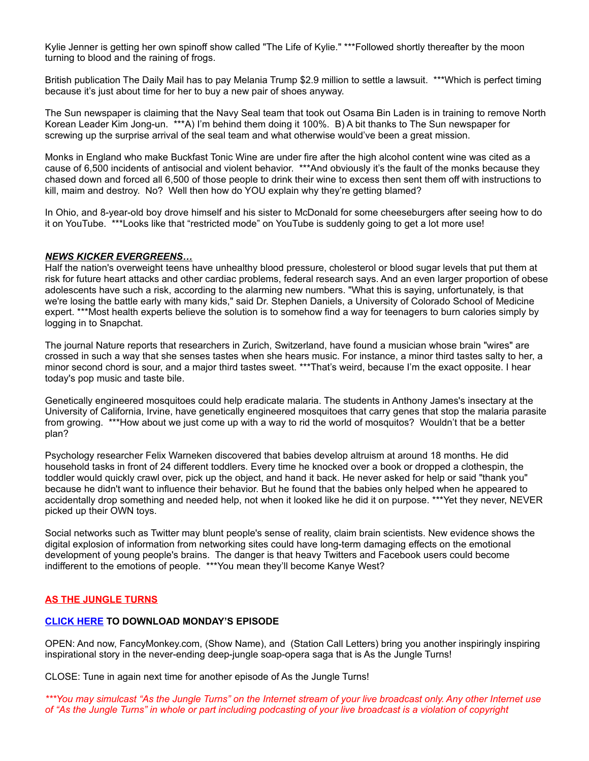Kylie Jenner is getting her own spinoff show called "The Life of Kylie." \*\*\*Followed shortly thereafter by the moon turning to blood and the raining of frogs.

British publication The Daily Mail has to pay Melania Trump \$2.9 million to settle a lawsuit. \*\*\*Which is perfect timing because it's just about time for her to buy a new pair of shoes anyway.

The Sun newspaper is claiming that the Navy Seal team that took out Osama Bin Laden is in training to remove North Korean Leader Kim Jong-un. \*\*\*A) I'm behind them doing it 100%. B) A bit thanks to The Sun newspaper for screwing up the surprise arrival of the seal team and what otherwise would've been a great mission.

Monks in England who make Buckfast Tonic Wine are under fire after the high alcohol content wine was cited as a cause of 6,500 incidents of antisocial and violent behavior. \*\*\*And obviously it's the fault of the monks because they chased down and forced all 6,500 of those people to drink their wine to excess then sent them off with instructions to kill, maim and destroy. No? Well then how do YOU explain why they're getting blamed?

In Ohio, and 8-year-old boy drove himself and his sister to McDonald for some cheeseburgers after seeing how to do it on YouTube. \*\*\*Looks like that "restricted mode" on YouTube is suddenly going to get a lot more use!

### *NEWS KICKER EVERGREENS…*

Half the nation's overweight teens have unhealthy blood pressure, cholesterol or blood sugar levels that put them at risk for future heart attacks and other cardiac problems, federal research says. And an even larger proportion of obese adolescents have such a risk, according to the alarming new numbers. "What this is saying, unfortunately, is that we're losing the battle early with many kids," said Dr. Stephen Daniels, a University of Colorado School of Medicine expert. \*\*\*Most health experts believe the solution is to somehow find a way for teenagers to burn calories simply by logging in to Snapchat.

The journal Nature reports that researchers in Zurich, Switzerland, have found a musician whose brain "wires" are crossed in such a way that she senses tastes when she hears music. For instance, a minor third tastes salty to her, a minor second chord is sour, and a major third tastes sweet. \*\*\*That's weird, because I'm the exact opposite. I hear today's pop music and taste bile.

Genetically engineered mosquitoes could help eradicate malaria. The students in Anthony James's insectary at the University of California, Irvine, have genetically engineered mosquitoes that carry genes that stop the malaria parasite from growing. \*\*\*How about we just come up with a way to rid the world of mosquitos? Wouldn't that be a better plan?

Psychology researcher Felix Warneken discovered that babies develop altruism at around 18 months. He did household tasks in front of 24 different toddlers. Every time he knocked over a book or dropped a clothespin, the toddler would quickly crawl over, pick up the object, and hand it back. He never asked for help or said "thank you" because he didn't want to influence their behavior. But he found that the babies only helped when he appeared to accidentally drop something and needed help, not when it looked like he did it on purpose. \*\*\*Yet they never, NEVER picked up their OWN toys.

Social networks such as Twitter may blunt people's sense of reality, claim brain scientists. New evidence shows the digital explosion of information from networking sites could have long-term damaging effects on the emotional development of young people's brains. The danger is that heavy Twitters and Facebook users could become indifferent to the emotions of people. \*\*\*You mean they'll become Kanye West?

### **AS THE JUNGLE TURNS**

### **[CLICK HERE](http://www.darrenmarlar.com/audio/AsTheJungleTurns/MMJJ0051.mp3) TO DOWNLOAD MONDAY'S EPISODE**

OPEN: And now, FancyMonkey.com, (Show Name), and (Station Call Letters) bring you another inspiringly inspiring inspirational story in the never-ending deep-jungle soap-opera saga that is As the Jungle Turns!

CLOSE: Tune in again next time for another episode of As the Jungle Turns!

*\*\*\*You may simulcast "As the Jungle Turns" on the Internet stream of your live broadcast only. Any other Internet use of "As the Jungle Turns" in whole or part including podcasting of your live broadcast is a violation of copyright*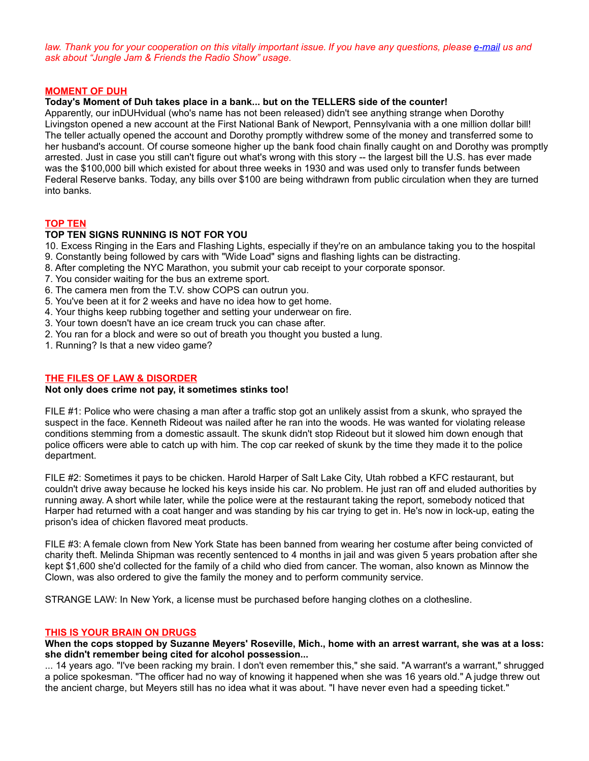*law. Thank you for your cooperation on this vitally important issue. If you have any questions, please [e-mail](mailto:radio@fancymonkey.com?subject=Internet%20Use) us and ask about "Jungle Jam & Friends the Radio Show" usage.*

#### **MOMENT OF DUH**

### **Today's Moment of Duh takes place in a bank... but on the TELLERS side of the counter!**

Apparently, our inDUHvidual (who's name has not been released) didn't see anything strange when Dorothy Livingston opened a new account at the First National Bank of Newport, Pennsylvania with a one million dollar bill! The teller actually opened the account and Dorothy promptly withdrew some of the money and transferred some to her husband's account. Of course someone higher up the bank food chain finally caught on and Dorothy was promptly arrested. Just in case you still can't figure out what's wrong with this story -- the largest bill the U.S. has ever made was the \$100,000 bill which existed for about three weeks in 1930 and was used only to transfer funds between Federal Reserve banks. Today, any bills over \$100 are being withdrawn from public circulation when they are turned into banks.

### **TOP TEN**

# **TOP TEN SIGNS RUNNING IS NOT FOR YOU**

- 10. Excess Ringing in the Ears and Flashing Lights, especially if they're on an ambulance taking you to the hospital 9. Constantly being followed by cars with "Wide Load" signs and flashing lights can be distracting.
- 8. After completing the NYC Marathon, you submit your cab receipt to your corporate sponsor.
- 7. You consider waiting for the bus an extreme sport.
- 6. The camera men from the T.V. show COPS can outrun you.
- 5. You've been at it for 2 weeks and have no idea how to get home.
- 4. Your thighs keep rubbing together and setting your underwear on fire.
- 3. Your town doesn't have an ice cream truck you can chase after.
- 2. You ran for a block and were so out of breath you thought you busted a lung.
- 1. Running? Is that a new video game?

#### **THE FILES OF LAW & DISORDER**

#### **Not only does crime not pay, it sometimes stinks too!**

FILE #1: Police who were chasing a man after a traffic stop got an unlikely assist from a skunk, who sprayed the suspect in the face. Kenneth Rideout was nailed after he ran into the woods. He was wanted for violating release conditions stemming from a domestic assault. The skunk didn't stop Rideout but it slowed him down enough that police officers were able to catch up with him. The cop car reeked of skunk by the time they made it to the police department.

FILE #2: Sometimes it pays to be chicken. Harold Harper of Salt Lake City, Utah robbed a KFC restaurant, but couldn't drive away because he locked his keys inside his car. No problem. He just ran off and eluded authorities by running away. A short while later, while the police were at the restaurant taking the report, somebody noticed that Harper had returned with a coat hanger and was standing by his car trying to get in. He's now in lock-up, eating the prison's idea of chicken flavored meat products.

FILE #3: A female clown from New York State has been banned from wearing her costume after being convicted of charity theft. Melinda Shipman was recently sentenced to 4 months in jail and was given 5 years probation after she kept \$1,600 she'd collected for the family of a child who died from cancer. The woman, also known as Minnow the Clown, was also ordered to give the family the money and to perform community service.

STRANGE LAW: In New York, a license must be purchased before hanging clothes on a clothesline.

#### **THIS IS YOUR BRAIN ON DRUGS**

**When the cops stopped by Suzanne Meyers' Roseville, Mich., home with an arrest warrant, she was at a loss: she didn't remember being cited for alcohol possession...**

... 14 years ago. "I've been racking my brain. I don't even remember this," she said. "A warrant's a warrant," shrugged a police spokesman. "The officer had no way of knowing it happened when she was 16 years old." A judge threw out the ancient charge, but Meyers still has no idea what it was about. "I have never even had a speeding ticket."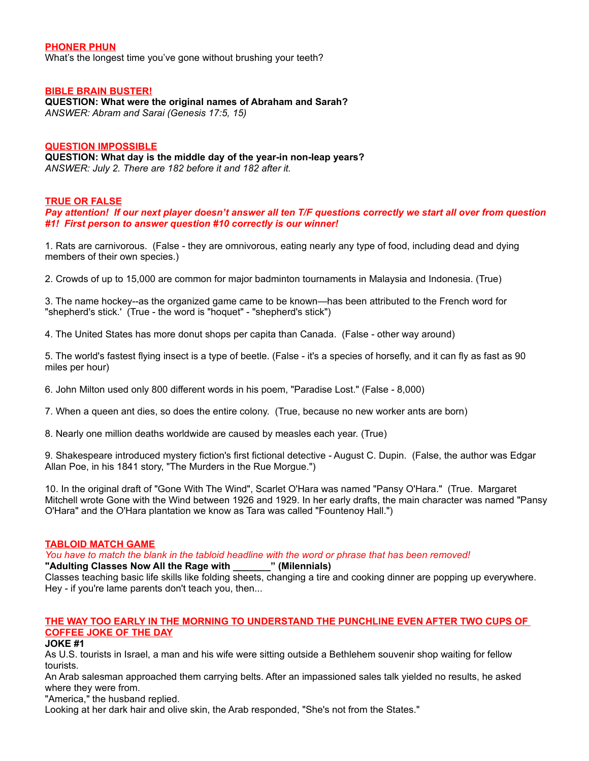### **PHONER PHUN**

What's the longest time you've gone without brushing your teeth?

#### **BIBLE BRAIN BUSTER!**

**QUESTION: What were the original names of Abraham and Sarah?** *ANSWER: Abram and Sarai (Genesis 17:5, 15)*

#### **QUESTION IMPOSSIBLE**

**QUESTION: What day is the middle day of the year-in non-leap years?** *ANSWER: July 2. There are 182 before it and 182 after it.*

#### **TRUE OR FALSE**

*Pay attention! If our next player doesn't answer all ten T/F questions correctly we start all over from question #1! First person to answer question #10 correctly is our winner!*

1. Rats are carnivorous. (False - they are omnivorous, eating nearly any type of food, including dead and dying members of their own species.)

2. Crowds of up to 15,000 are common for major badminton tournaments in Malaysia and Indonesia. (True)

3. The name hockey--as the organized game came to be known—has been attributed to the French word for "shepherd's stick.' (True - the word is "hoquet" - "shepherd's stick")

4. The United States has more donut shops per capita than Canada. (False - other way around)

5. The world's fastest flying insect is a type of beetle. (False - it's a species of horsefly, and it can fly as fast as 90 miles per hour)

6. John Milton used only 800 different words in his poem, "Paradise Lost." (False - 8,000)

7. When a queen ant dies, so does the entire colony. (True, because no new worker ants are born)

8. Nearly one million deaths worldwide are caused by measles each year. (True)

9. Shakespeare introduced mystery fiction's first fictional detective - August C. Dupin. (False, the author was Edgar Allan Poe, in his 1841 story, "The Murders in the Rue Morgue.")

10. In the original draft of "Gone With The Wind", Scarlet O'Hara was named "Pansy O'Hara." (True. Margaret Mitchell wrote Gone with the Wind between 1926 and 1929. In her early drafts, the main character was named "Pansy O'Hara" and the O'Hara plantation we know as Tara was called "Fountenoy Hall.")

### **TABLOID MATCH GAME**

*You have to match the blank in the tabloid headline with the word or phrase that has been removed!* **"Adulting Classes Now All the Rage with \_\_\_\_\_\_\_" (Milennials)**

Classes teaching basic life skills like folding sheets, changing a tire and cooking dinner are popping up everywhere. Hey - if you're lame parents don't teach you, then...

# **THE WAY TOO EARLY IN THE MORNING TO UNDERSTAND THE PUNCHLINE EVEN AFTER TWO CUPS OF COFFEE JOKE OF THE DAY**

#### **JOKE #1**

As U.S. tourists in Israel, a man and his wife were sitting outside a Bethlehem souvenir shop waiting for fellow tourists.

An Arab salesman approached them carrying belts. After an impassioned sales talk yielded no results, he asked where they were from.

"America," the husband replied.

Looking at her dark hair and olive skin, the Arab responded, "She's not from the States."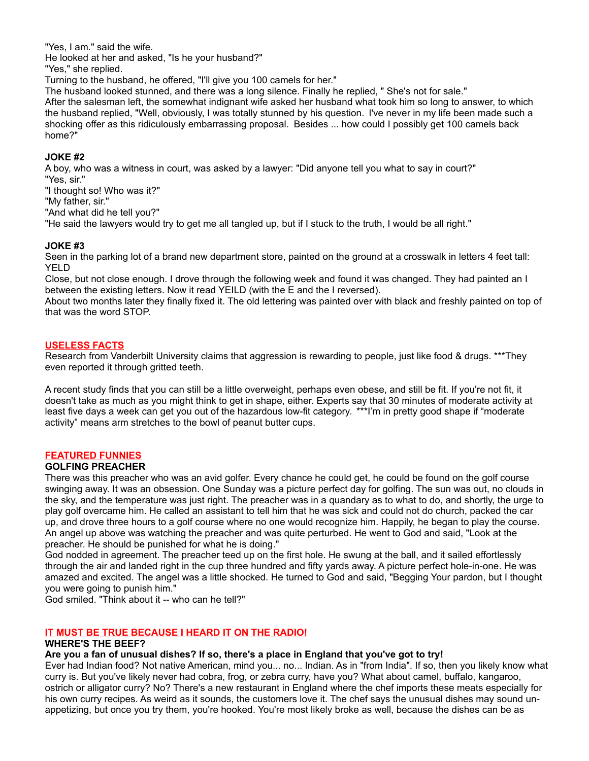"Yes, I am." said the wife.

He looked at her and asked, "Is he your husband?"

"Yes," she replied.

Turning to the husband, he offered, "I'll give you 100 camels for her."

The husband looked stunned, and there was a long silence. Finally he replied, " She's not for sale."

After the salesman left, the somewhat indignant wife asked her husband what took him so long to answer, to which the husband replied, "Well, obviously, I was totally stunned by his question. I've never in my life been made such a shocking offer as this ridiculously embarrassing proposal. Besides ... how could I possibly get 100 camels back home?"

# **JOKE #2**

A boy, who was a witness in court, was asked by a lawyer: "Did anyone tell you what to say in court?"

"Yes, sir."

"I thought so! Who was it?"

"My father, sir."

"And what did he tell you?"

"He said the lawyers would try to get me all tangled up, but if I stuck to the truth, I would be all right."

# **JOKE #3**

Seen in the parking lot of a brand new department store, painted on the ground at a crosswalk in letters 4 feet tall: YELD

Close, but not close enough. I drove through the following week and found it was changed. They had painted an I between the existing letters. Now it read YEILD (with the E and the I reversed).

About two months later they finally fixed it. The old lettering was painted over with black and freshly painted on top of that was the word STOP.

## **USELESS FACTS**

Research from Vanderbilt University claims that aggression is rewarding to people, just like food & drugs. \*\*\*They even reported it through gritted teeth.

A recent study finds that you can still be a little overweight, perhaps even obese, and still be fit. If you're not fit, it doesn't take as much as you might think to get in shape, either. Experts say that 30 minutes of moderate activity at least five days a week can get you out of the hazardous low-fit category. \*\*\*I'm in pretty good shape if "moderate activity" means arm stretches to the bowl of peanut butter cups.

# **FEATURED FUNNIES**

### **GOLFING PREACHER**

There was this preacher who was an avid golfer. Every chance he could get, he could be found on the golf course swinging away. It was an obsession. One Sunday was a picture perfect day for golfing. The sun was out, no clouds in the sky, and the temperature was just right. The preacher was in a quandary as to what to do, and shortly, the urge to play golf overcame him. He called an assistant to tell him that he was sick and could not do church, packed the car up, and drove three hours to a golf course where no one would recognize him. Happily, he began to play the course. An angel up above was watching the preacher and was quite perturbed. He went to God and said, "Look at the preacher. He should be punished for what he is doing."

God nodded in agreement. The preacher teed up on the first hole. He swung at the ball, and it sailed effortlessly through the air and landed right in the cup three hundred and fifty yards away. A picture perfect hole-in-one. He was amazed and excited. The angel was a little shocked. He turned to God and said, "Begging Your pardon, but I thought you were going to punish him."

God smiled. "Think about it -- who can he tell?"

### **IT MUST BE TRUE BECAUSE I HEARD IT ON THE RADIO!**

### **WHERE'S THE BEEF?**

# **Are you a fan of unusual dishes? If so, there's a place in England that you've got to try!**

Ever had Indian food? Not native American, mind you... no... Indian. As in "from India". If so, then you likely know what curry is. But you've likely never had cobra, frog, or zebra curry, have you? What about camel, buffalo, kangaroo, ostrich or alligator curry? No? There's a new restaurant in England where the chef imports these meats especially for his own curry recipes. As weird as it sounds, the customers love it. The chef says the unusual dishes may sound unappetizing, but once you try them, you're hooked. You're most likely broke as well, because the dishes can be as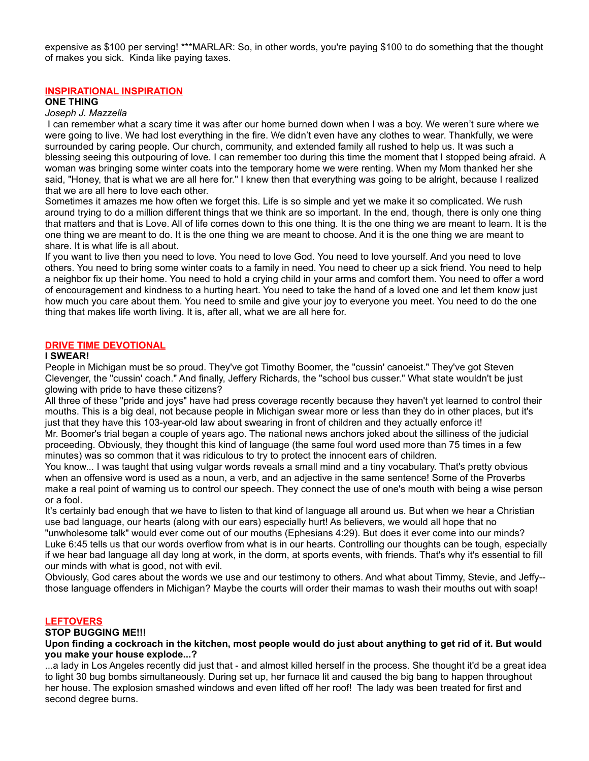expensive as \$100 per serving! \*\*\*MARLAR: So, in other words, you're paying \$100 to do something that the thought of makes you sick. Kinda like paying taxes.

### **INSPIRATIONAL INSPIRATION**

#### **ONE THING**

#### *Joseph J. Mazzella*

I can remember what a scary time it was after our home burned down when I was a boy. We weren't sure where we were going to live. We had lost everything in the fire. We didn't even have any clothes to wear. Thankfully, we were surrounded by caring people. Our church, community, and extended family all rushed to help us. It was such a blessing seeing this outpouring of love. I can remember too during this time the moment that I stopped being afraid. A woman was bringing some winter coats into the temporary home we were renting. When my Mom thanked her she said, "Honey, that is what we are all here for." I knew then that everything was going to be alright, because I realized that we are all here to love each other.

Sometimes it amazes me how often we forget this. Life is so simple and yet we make it so complicated. We rush around trying to do a million different things that we think are so important. In the end, though, there is only one thing that matters and that is Love. All of life comes down to this one thing. It is the one thing we are meant to learn. It is the one thing we are meant to do. It is the one thing we are meant to choose. And it is the one thing we are meant to share. It is what life is all about.

If you want to live then you need to love. You need to love God. You need to love yourself. And you need to love others. You need to bring some winter coats to a family in need. You need to cheer up a sick friend. You need to help a neighbor fix up their home. You need to hold a crying child in your arms and comfort them. You need to offer a word of encouragement and kindness to a hurting heart. You need to take the hand of a loved one and let them know just how much you care about them. You need to smile and give your joy to everyone you meet. You need to do the one thing that makes life worth living. It is, after all, what we are all here for.

#### **DRIVE TIME DEVOTIONAL**

#### **I SWEAR!**

People in Michigan must be so proud. They've got Timothy Boomer, the "cussin' canoeist." They've got Steven Clevenger, the "cussin' coach." And finally, Jeffery Richards, the "school bus cusser." What state wouldn't be just glowing with pride to have these citizens?

All three of these "pride and joys" have had press coverage recently because they haven't yet learned to control their mouths. This is a big deal, not because people in Michigan swear more or less than they do in other places, but it's just that they have this 103-year-old law about swearing in front of children and they actually enforce it! Mr. Boomer's trial began a couple of years ago. The national news anchors joked about the silliness of the judicial proceeding. Obviously, they thought this kind of language (the same foul word used more than 75 times in a few minutes) was so common that it was ridiculous to try to protect the innocent ears of children.

You know... I was taught that using vulgar words reveals a small mind and a tiny vocabulary. That's pretty obvious when an offensive word is used as a noun, a verb, and an adjective in the same sentence! Some of the Proverbs make a real point of warning us to control our speech. They connect the use of one's mouth with being a wise person or a fool.

It's certainly bad enough that we have to listen to that kind of language all around us. But when we hear a Christian use bad language, our hearts (along with our ears) especially hurt! As believers, we would all hope that no "unwholesome talk" would ever come out of our mouths (Ephesians 4:29). But does it ever come into our minds?

Luke 6:45 tells us that our words overflow from what is in our hearts. Controlling our thoughts can be tough, especially if we hear bad language all day long at work, in the dorm, at sports events, with friends. That's why it's essential to fill our minds with what is good, not with evil.

Obviously, God cares about the words we use and our testimony to others. And what about Timmy, Stevie, and Jeffy- those language offenders in Michigan? Maybe the courts will order their mamas to wash their mouths out with soap!

### **LEFTOVERS**

#### **STOP BUGGING ME!!!**

#### **Upon finding a cockroach in the kitchen, most people would do just about anything to get rid of it. But would you make your house explode...?**

...a lady in Los Angeles recently did just that - and almost killed herself in the process. She thought it'd be a great idea to light 30 bug bombs simultaneously. During set up, her furnace lit and caused the big bang to happen throughout her house. The explosion smashed windows and even lifted off her roof! The lady was been treated for first and second degree burns.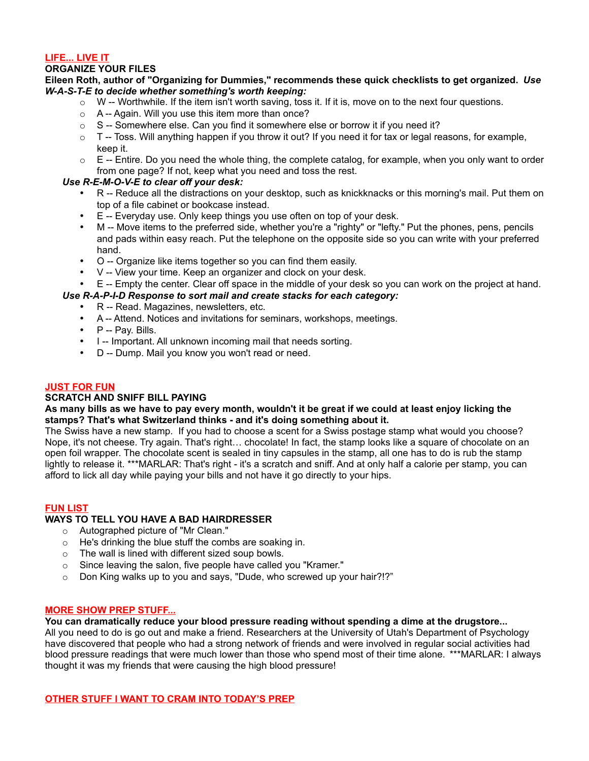# **LIFE... LIVE IT**

# **ORGANIZE YOUR FILES**

### **Eileen Roth, author of "Organizing for Dummies," recommends these quick checklists to get organized.** *Use W-A-S-T-E to decide whether something's worth keeping:*

- $\circ$  W -- Worthwhile. If the item isn't worth saving, toss it. If it is, move on to the next four questions.
- o A -- Again. Will you use this item more than once?
- $\circ$  S -- Somewhere else. Can you find it somewhere else or borrow it if you need it?
- $\circ$  T -- Toss. Will anything happen if you throw it out? If you need it for tax or legal reasons, for example, keep it.
- $\circ$  E -- Entire. Do you need the whole thing, the complete catalog, for example, when you only want to order from one page? If not, keep what you need and toss the rest.

# *Use R-E-M-O-V-E to clear off your desk:*

- R -- Reduce all the distractions on your desktop, such as knickknacks or this morning's mail. Put them on top of a file cabinet or bookcase instead.
- E -- Everyday use. Only keep things you use often on top of your desk.
- M -- Move items to the preferred side, whether you're a "righty" or "lefty." Put the phones, pens, pencils and pads within easy reach. Put the telephone on the opposite side so you can write with your preferred hand.
- O -- Organize like items together so you can find them easily.
- V -- View your time. Keep an organizer and clock on your desk.
- E -- Empty the center. Clear off space in the middle of your desk so you can work on the project at hand.

# *Use R-A-P-I-D Response to sort mail and create stacks for each category:*

- R -- Read. Magazines, newsletters, etc.
- A -- Attend. Notices and invitations for seminars, workshops, meetings.
- P -- Pay. Bills.
- I -- Important. All unknown incoming mail that needs sorting.
- D -- Dump. Mail you know you won't read or need.

### **JUST FOR FUN**

### **SCRATCH AND SNIFF BILL PAYING**

### **As many bills as we have to pay every month, wouldn't it be great if we could at least enjoy licking the stamps? That's what Switzerland thinks - and it's doing something about it.**

The Swiss have a new stamp. If you had to choose a scent for a Swiss postage stamp what would you choose? Nope, it's not cheese. Try again. That's right… chocolate! In fact, the stamp looks like a square of chocolate on an open foil wrapper. The chocolate scent is sealed in tiny capsules in the stamp, all one has to do is rub the stamp lightly to release it. \*\*\*MARLAR: That's right - it's a scratch and sniff. And at only half a calorie per stamp, you can afford to lick all day while paying your bills and not have it go directly to your hips.

### **FUN LIST**

## **WAYS TO TELL YOU HAVE A BAD HAIRDRESSER**

- o Autographed picture of "Mr Clean."
- o He's drinking the blue stuff the combs are soaking in.
- o The wall is lined with different sized soup bowls.
- o Since leaving the salon, five people have called you "Kramer."
- o Don King walks up to you and says, "Dude, who screwed up your hair?!?"

### **MORE SHOW PREP STUFF...**

### **You can dramatically reduce your blood pressure reading without spending a dime at the drugstore...**

All you need to do is go out and make a friend. Researchers at the University of Utah's Department of Psychology have discovered that people who had a strong network of friends and were involved in regular social activities had blood pressure readings that were much lower than those who spend most of their time alone. \*\*\*MARLAR: I always thought it was my friends that were causing the high blood pressure!

**OTHER STUFF I WANT TO CRAM INTO TODAY'S PREP**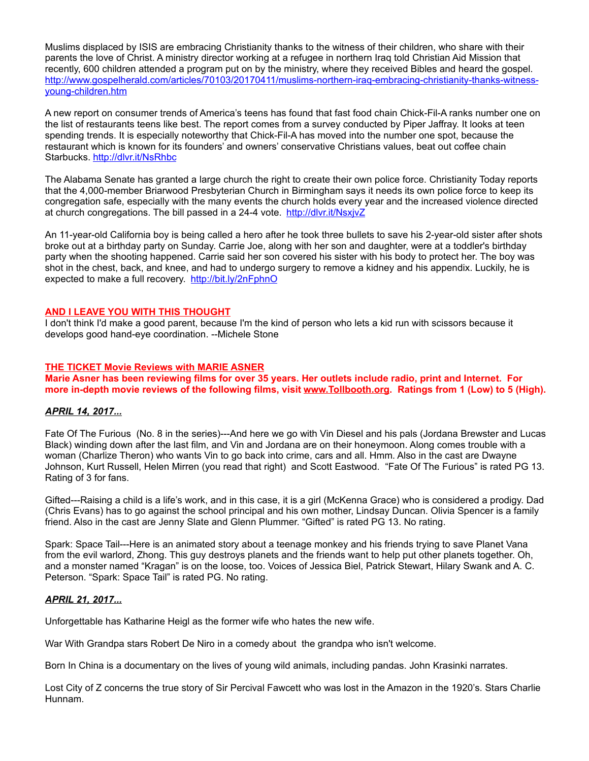Muslims displaced by ISIS are embracing Christianity thanks to the witness of their children, who share with their parents the love of Christ. A ministry director working at a refugee in northern Iraq told Christian Aid Mission that recently, 600 children attended a program put on by the ministry, where they received Bibles and heard the gospel. [http://www.gospelherald.com/articles/70103/20170411/muslims-northern-iraq-embracing-christianity-thanks-witness](http://www.gospelherald.com/articles/70103/20170411/muslims-northern-iraq-embracing-christianity-thanks-witness-young-children.htm)[young-children.htm](http://www.gospelherald.com/articles/70103/20170411/muslims-northern-iraq-embracing-christianity-thanks-witness-young-children.htm)

A new report on consumer trends of America's teens has found that fast food chain Chick-Fil-A ranks number one on the list of restaurants teens like best. The report comes from a survey conducted by Piper Jaffray. It looks at teen spending trends. It is especially noteworthy that Chick-Fil-A has moved into the number one spot, because the restaurant which is known for its founders' and owners' conservative Christians values, beat out coffee chain Starbucks.<http://dlvr.it/NsRhbc>

The Alabama Senate has granted a large church the right to create their own police force. Christianity Today reports that the 4,000-member Briarwood Presbyterian Church in Birmingham says it needs its own police force to keep its congregation safe, especially with the many events the church holds every year and the increased violence directed at church congregations. The bill passed in a 24-4 vote. <http://dlvr.it/NsxjvZ>

An 11-year-old California boy is being called a hero after he took three bullets to save his 2-year-old sister after shots broke out at a birthday party on Sunday. Carrie Joe, along with her son and daughter, were at a toddler's birthday party when the shooting happened. Carrie said her son covered his sister with his body to protect her. The boy was shot in the chest, back, and knee, and had to undergo surgery to remove a kidney and his appendix. Luckily, he is expected to make a full recovery. <http://bit.ly/2nFphnO>

# **AND I LEAVE YOU WITH THIS THOUGHT**

I don't think I'd make a good parent, because I'm the kind of person who lets a kid run with scissors because it develops good hand-eye coordination. --Michele Stone

# **THE TICKET Movie Reviews with MARIE ASNER**

**Marie Asner has been reviewing films for over 35 years. Her outlets include radio, print and Internet. For more in-depth movie reviews of the following films, visit [www.Tollbooth.org.](http://www.tollbooth.org/index.php/home/movie-reviews) Ratings from 1 (Low) to 5 (High).**

# *APRIL 14, 2017...*

Fate Of The Furious (No. 8 in the series)---And here we go with Vin Diesel and his pals (Jordana Brewster and Lucas Black) winding down after the last film, and Vin and Jordana are on their honeymoon. Along comes trouble with a woman (Charlize Theron) who wants Vin to go back into crime, cars and all. Hmm. Also in the cast are Dwayne Johnson, Kurt Russell, Helen Mirren (you read that right) and Scott Eastwood. "Fate Of The Furious" is rated PG 13. Rating of 3 for fans.

Gifted---Raising a child is a life's work, and in this case, it is a girl (McKenna Grace) who is considered a prodigy. Dad (Chris Evans) has to go against the school principal and his own mother, Lindsay Duncan. Olivia Spencer is a family friend. Also in the cast are Jenny Slate and Glenn Plummer. "Gifted" is rated PG 13. No rating.

Spark: Space Tail---Here is an animated story about a teenage monkey and his friends trying to save Planet Vana from the evil warlord, Zhong. This guy destroys planets and the friends want to help put other planets together. Oh, and a monster named "Kragan" is on the loose, too. Voices of Jessica Biel, Patrick Stewart, Hilary Swank and A. C. Peterson. "Spark: Space Tail" is rated PG. No rating.

# *APRIL 21, 2017...*

Unforgettable has Katharine Heigl as the former wife who hates the new wife.

War With Grandpa stars Robert De Niro in a comedy about the grandpa who isn't welcome.

Born In China is a documentary on the lives of young wild animals, including pandas. John Krasinki narrates.

Lost City of Z concerns the true story of Sir Percival Fawcett who was lost in the Amazon in the 1920's. Stars Charlie Hunnam.